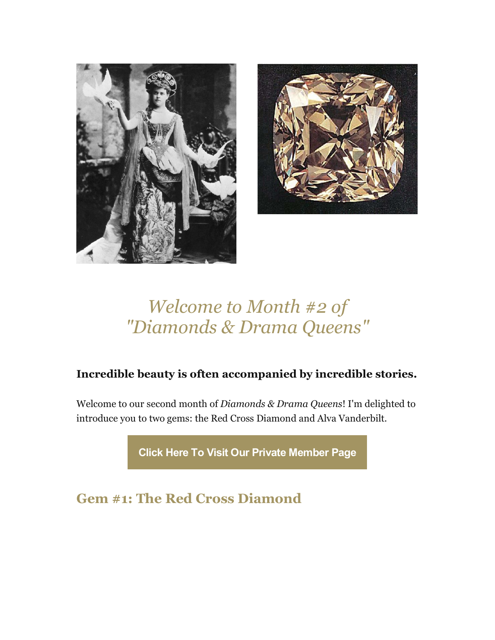



## *Welcome to Month #2 of "Diamonds & Drama Queens"*

## **Incredible beauty is often accompanied by incredible stories.**

Welcome to our second month of *Diamonds & Drama Queens*! I'm delighted to introduce you to two gems: the Red Cross Diamond and Alva Vanderbilt.

**[Click Here To Visit Our Private Member Page](https://mjkinman.com/ddq-member-page)**

**Gem #1: The Red Cross Diamond**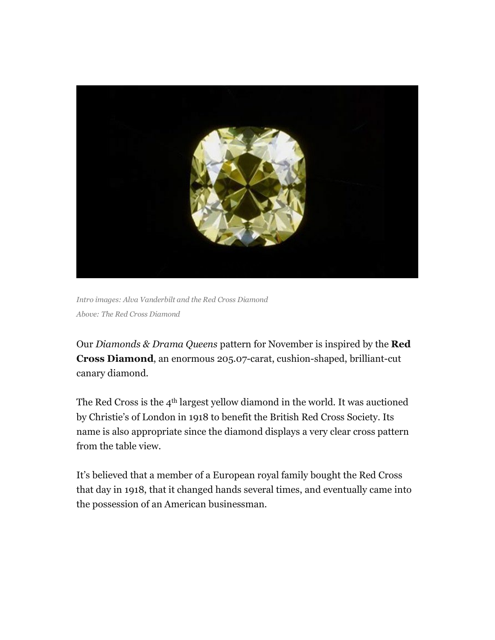

*Intro images: Alva Vanderbilt and the Red Cross Diamond Above: The Red Cross Diamond*

Our *Diamonds & Drama Queens* pattern for November is inspired by the **Red Cross Diamond**, an enormous 205.07-carat, cushion-shaped, brilliant-cut canary diamond.

The Red Cross is the 4th largest yellow diamond in the world. It was auctioned by Christie's of London in 1918 to benefit the British Red Cross Society. Its name is also appropriate since the diamond displays a very clear cross pattern from the table view.

It's believed that a member of a European royal family bought the Red Cross that day in 1918, that it changed hands several times, and eventually came into the possession of an American businessman.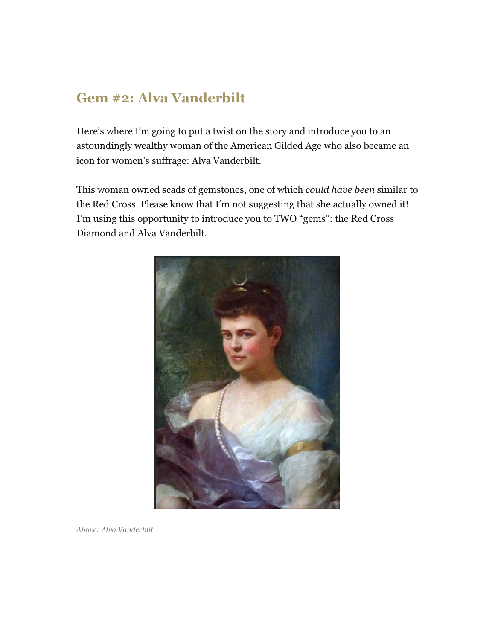## **Gem #2: Alva Vanderbilt**

Here's where I'm going to put a twist on the story and introduce you to an astoundingly wealthy woman of the American Gilded Age who also became an icon for women's suffrage: Alva Vanderbilt.

This woman owned scads of gemstones, one of which *could have been* similar to the Red Cross. Please know that I'm not suggesting that she actually owned it! I'm using this opportunity to introduce you to TWO "gems": the Red Cross Diamond and Alva Vanderbilt.



*Above: Alva Vanderbilt*